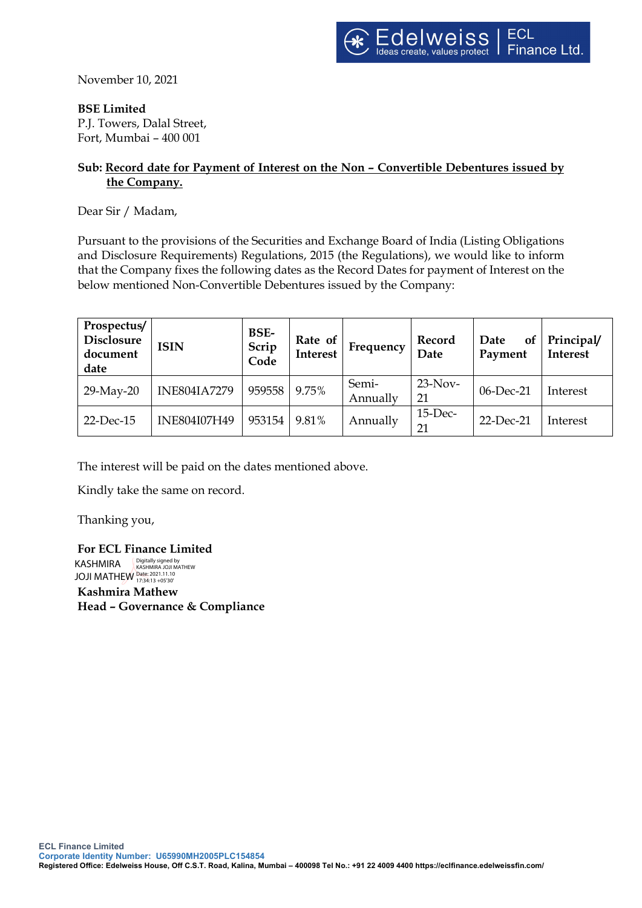November 10, 2021

**BSE Limited**

P.J. Towers, Dalal Street, Fort, Mumbai – 400 001

## **Sub: Record date for Payment of Interest on the Non – Convertible Debentures issued by the Company.**

Dear Sir / Madam,

Pursuant to the provisions of the Securities and Exchange Board of India (Listing Obligations and Disclosure Requirements) Regulations, 2015 (the Regulations), we would like to inform that the Company fixes the following dates as the Record Dates for payment of Interest on the below mentioned Non-Convertible Debentures issued by the Company:

| Prospectus/<br>Disclosure<br>document<br>date | <b>ISIN</b>         | BSE-<br>Scrip<br>Code | Rate of<br><b>Interest</b> | Frequency         | Record<br>Date   | Date<br><b>of</b><br>Payment | Principal/<br><b>Interest</b> |
|-----------------------------------------------|---------------------|-----------------------|----------------------------|-------------------|------------------|------------------------------|-------------------------------|
| 29-May-20                                     | <b>INE804IA7279</b> | 959558                | 9.75%                      | Semi-<br>Annually | $23-Nov-$<br>21  | 06-Dec-21                    | Interest                      |
| $22$ -Dec-15                                  | <b>INE804I07H49</b> | 953154                | 9.81%                      | Annually          | $15$ -Dec-<br>21 | 22-Dec-21                    | Interest                      |

The interest will be paid on the dates mentioned above.

Kindly take the same on record.

Thanking you,

**For ECL Finance Limited** KASHMIRA JOJI MATHEW Date: 2021.11.10 17:34:13 +05'30'Digitally signed by KASHMIRA JOJI MATHEW

**Kashmira Mathew Head – Governance & Compliance**